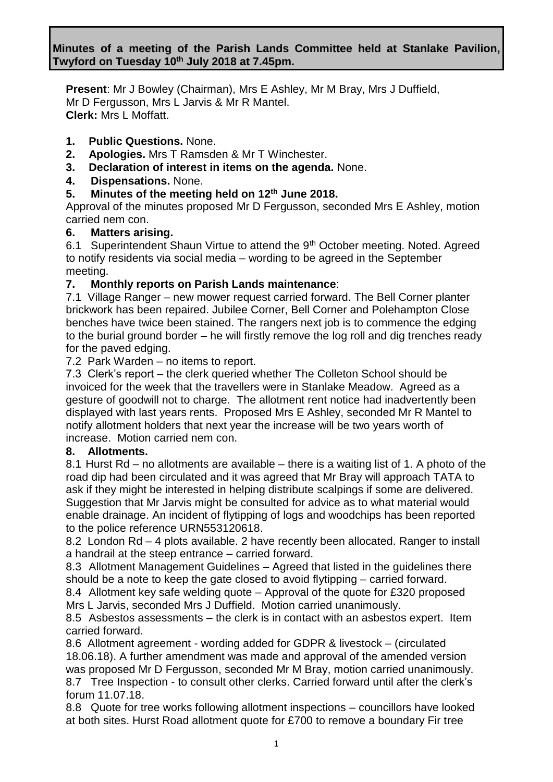# **Minutes of a meeting of the Parish Lands Committee held at Stanlake Pavilion, Twyford on Tuesday 10th July 2018 at 7.45pm.**

**Present**: Mr J Bowley (Chairman), Mrs E Ashley, Mr M Bray, Mrs J Duffield, Mr D Fergusson, Mrs L Jarvis & Mr R Mantel. **Clerk:** Mrs L Moffatt.

### **1. Public Questions.** None.

- **2. Apologies.** Mrs T Ramsden & Mr T Winchester.
- **3. Declaration of interest in items on the agenda.** None.

### **4. Dispensations.** None.

## **5. Minutes of the meeting held on 12th June 2018.**

Approval of the minutes proposed Mr D Fergusson, seconded Mrs E Ashley, motion carried nem con.

#### **6. Matters arising.**

6.1 Superintendent Shaun Virtue to attend the 9<sup>th</sup> October meeting. Noted. Agreed to notify residents via social media – wording to be agreed in the September meeting.

### **7. Monthly reports on Parish Lands maintenance**:

7.1 Village Ranger – new mower request carried forward. The Bell Corner planter brickwork has been repaired. Jubilee Corner, Bell Corner and Polehampton Close benches have twice been stained. The rangers next job is to commence the edging to the burial ground border – he will firstly remove the log roll and dig trenches ready for the paved edging.

7.2 Park Warden – no items to report.

7.3 Clerk's report – the clerk queried whether The Colleton School should be invoiced for the week that the travellers were in Stanlake Meadow. Agreed as a gesture of goodwill not to charge. The allotment rent notice had inadvertently been displayed with last years rents. Proposed Mrs E Ashley, seconded Mr R Mantel to notify allotment holders that next year the increase will be two years worth of increase. Motion carried nem con.

#### **8. Allotments.**

8.1 Hurst Rd – no allotments are available – there is a waiting list of 1. A photo of the road dip had been circulated and it was agreed that Mr Bray will approach TATA to ask if they might be interested in helping distribute scalpings if some are delivered. Suggestion that Mr Jarvis might be consulted for advice as to what material would enable drainage. An incident of flytipping of logs and woodchips has been reported to the police reference URN553120618.

8.2 London Rd – 4 plots available. 2 have recently been allocated. Ranger to install a handrail at the steep entrance – carried forward.

8.3 Allotment Management Guidelines – Agreed that listed in the guidelines there should be a note to keep the gate closed to avoid flytipping – carried forward.

8.4 Allotment key safe welding quote – Approval of the quote for £320 proposed Mrs L Jarvis, seconded Mrs J Duffield. Motion carried unanimously.

8.5 Asbestos assessments – the clerk is in contact with an asbestos expert. Item carried forward.

8.6 Allotment agreement - wording added for GDPR & livestock – (circulated 18.06.18). A further amendment was made and approval of the amended version was proposed Mr D Fergusson, seconded Mr M Bray, motion carried unanimously. 8.7 Tree Inspection - to consult other clerks. Carried forward until after the clerk's forum 11.07.18.

8.8 Quote for tree works following allotment inspections – councillors have looked at both sites. Hurst Road allotment quote for £700 to remove a boundary Fir tree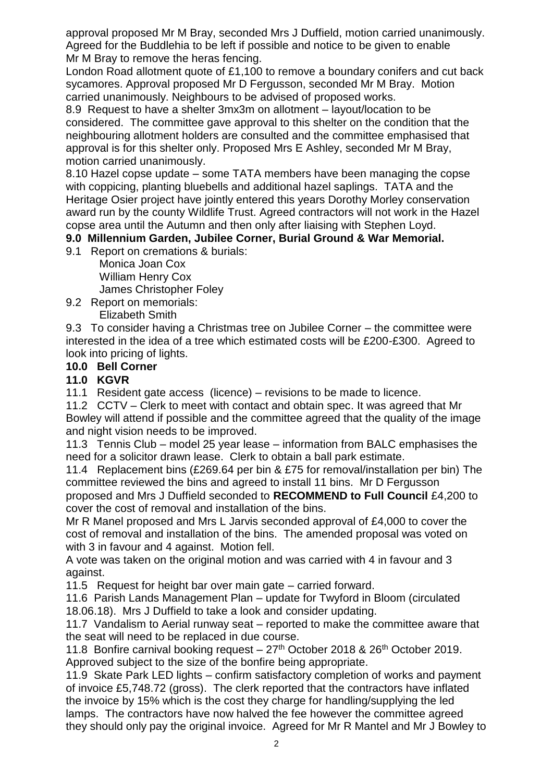approval proposed Mr M Bray, seconded Mrs J Duffield, motion carried unanimously. Agreed for the Buddlehia to be left if possible and notice to be given to enable Mr M Bray to remove the heras fencing.

London Road allotment quote of £1,100 to remove a boundary conifers and cut back sycamores. Approval proposed Mr D Fergusson, seconded Mr M Bray. Motion carried unanimously. Neighbours to be advised of proposed works.

8.9 Request to have a shelter 3mx3m on allotment – layout/location to be considered. The committee gave approval to this shelter on the condition that the neighbouring allotment holders are consulted and the committee emphasised that approval is for this shelter only. Proposed Mrs E Ashley, seconded Mr M Bray, motion carried unanimously.

8.10 Hazel copse update – some TATA members have been managing the copse with coppicing, planting bluebells and additional hazel saplings. TATA and the Heritage Osier project have jointly entered this years Dorothy Morley conservation award run by the county Wildlife Trust. Agreed contractors will not work in the Hazel copse area until the Autumn and then only after liaising with Stephen Loyd.

# **9.0 Millennium Garden, Jubilee Corner, Burial Ground & War Memorial.**

9.1 Report on cremations & burials:

Monica Joan Cox William Henry Cox James Christopher Foley

9.2 Report on memorials: Elizabeth Smith

9.3 To consider having a Christmas tree on Jubilee Corner – the committee were interested in the idea of a tree which estimated costs will be £200-£300. Agreed to look into pricing of lights.

## **10.0 Bell Corner**

# **11.0 KGVR**

11.1 Resident gate access (licence) – revisions to be made to licence.

11.2 CCTV – Clerk to meet with contact and obtain spec. It was agreed that Mr Bowley will attend if possible and the committee agreed that the quality of the image and night vision needs to be improved.

11.3 Tennis Club – model 25 year lease – information from BALC emphasises the need for a solicitor drawn lease. Clerk to obtain a ball park estimate.

11.4 Replacement bins (£269.64 per bin & £75 for removal/installation per bin) The committee reviewed the bins and agreed to install 11 bins. Mr D Fergusson

proposed and Mrs J Duffield seconded to **RECOMMEND to Full Council** £4,200 to cover the cost of removal and installation of the bins.

Mr R Manel proposed and Mrs L Jarvis seconded approval of £4,000 to cover the cost of removal and installation of the bins. The amended proposal was voted on with 3 in favour and 4 against. Motion fell.

A vote was taken on the original motion and was carried with 4 in favour and 3 against.

11.5 Request for height bar over main gate – carried forward.

11.6 Parish Lands Management Plan – update for Twyford in Bloom (circulated 18.06.18). Mrs J Duffield to take a look and consider updating.

11.7 Vandalism to Aerial runway seat – reported to make the committee aware that the seat will need to be replaced in due course.

11.8 Bonfire carnival booking request  $-27<sup>th</sup>$  October 2018 & 26<sup>th</sup> October 2019. Approved subject to the size of the bonfire being appropriate.

11.9 Skate Park LED lights – confirm satisfactory completion of works and payment of invoice £5,748.72 (gross). The clerk reported that the contractors have inflated the invoice by 15% which is the cost they charge for handling/supplying the led lamps. The contractors have now halved the fee however the committee agreed they should only pay the original invoice. Agreed for Mr R Mantel and Mr J Bowley to